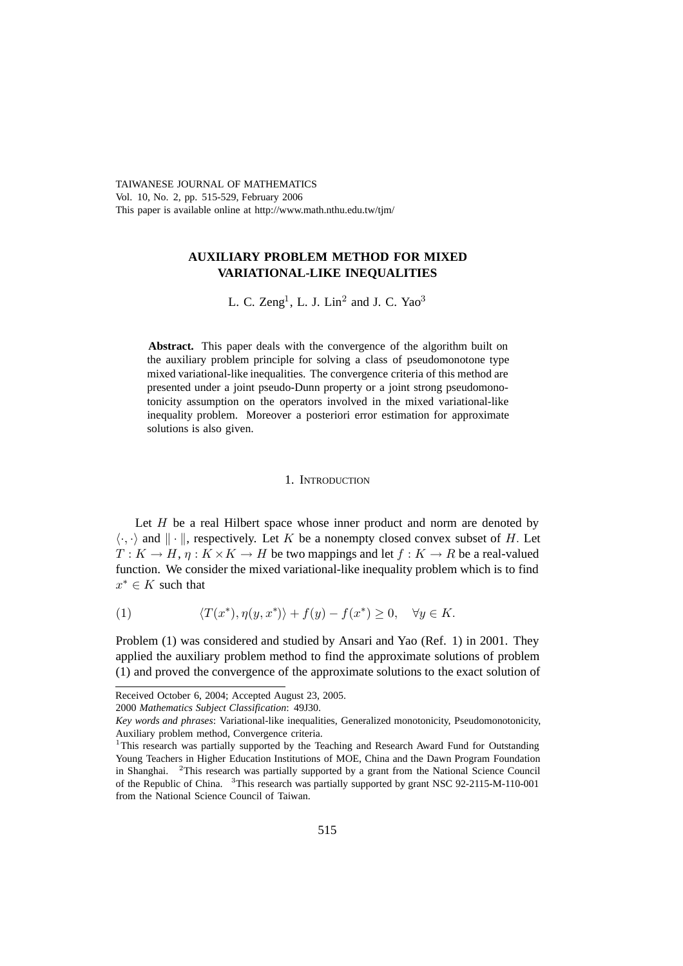TAIWANESE JOURNAL OF MATHEMATICS Vol. 10, No. 2, pp. 515-529, February 2006 This paper is available online at http://www.math.nthu.edu.tw/tjm/

# **AUXILIARY PROBLEM METHOD FOR MIXED VARIATIONAL-LIKE INEQUALITIES**

L. C. Zeng<sup>1</sup>, L. J. Lin<sup>2</sup> and J. C. Yao<sup>3</sup>

Abstract. This paper deals with the convergence of the algorithm built on the auxiliary problem principle for solving a class of pseudomonotone type mixed variational-like inequalities. The convergence criteria of this method are presented under a joint pseudo-Dunn property or a joint strong pseudomonotonicity assumption on the operators involved in the mixed variational-like inequality problem. Moreover a posteriori error estimation for approximate solutions is also given.

### 1. INTRODUCTION

Let  $H$  be a real Hilbert space whose inner product and norm are denoted by  $\langle \cdot, \cdot \rangle$  and  $\| \cdot \|$ , respectively. Let K be a nonempty closed convex subset of H. Let  $T: K \to H$   $n: K \times K \to H$  be two mappings and let  $f: K \to R$  be a real-valued  $T: K \to H$ ,  $\eta: K \times K \to H$  be two mappings and let  $f: K \to R$  be a real-valued function. We consider the mixed variational-like inequality problem which is to find  $x^* \in K$  such that

(1) 
$$
\langle T(x^*), \eta(y, x^*) \rangle + f(y) - f(x^*) \ge 0, \quad \forall y \in K.
$$

Problem (1) was considered and studied by Ansari and Yao (Ref. 1) in 2001. They applied the auxiliary problem method to find the approximate solutions of problem (1) and proved the convergence of the approximate solutions to the exact solution of

Received October 6, 2004; Accepted August 23, 2005.

<sup>2000</sup> *Mathematics Subject Classification*: 49J30.

*Key words and phrases*: Variational-like inequalities, Generalized monotonicity, Pseudomonotonicity, Auxiliary problem method, Convergence criteria.

<sup>&</sup>lt;sup>1</sup>This research was partially supported by the Teaching and Research Award Fund for Outstanding Young Teachers in Higher Education Institutions of MOE, China and the Dawn Program Foundation in Shanghai. <sup>2</sup>This research was partially supported by a grant from the National Science Council of the Republic of China. <sup>3</sup>This research was partially supported by grant NSC 92-2115-M-110-001 from the National Science Council of Taiwan.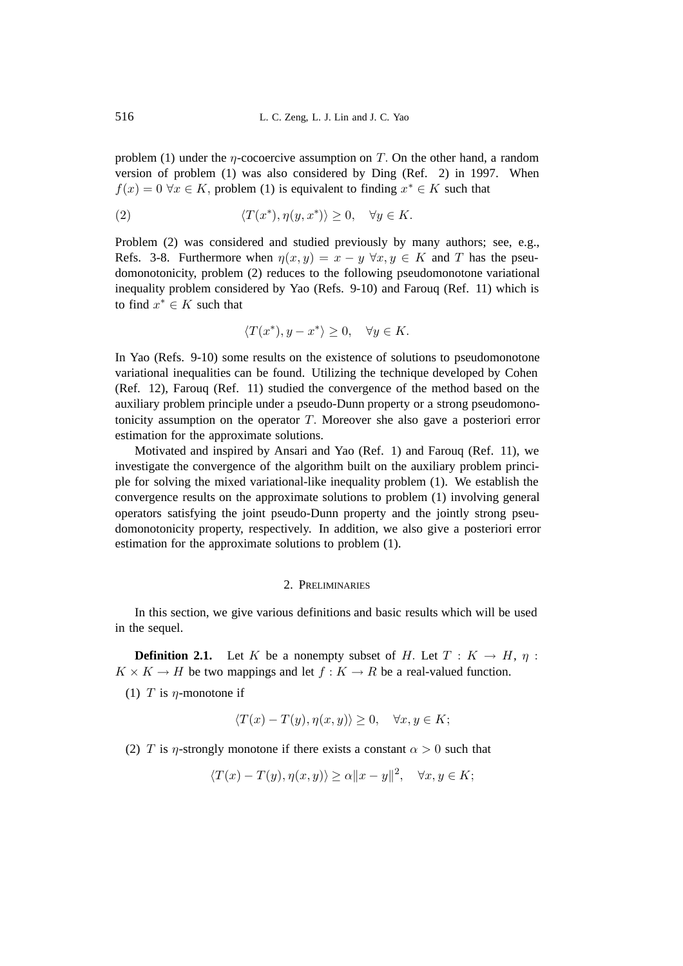problem (1) under the  $\eta$ -cocoercive assumption on T. On the other hand, a random version of problem (1) was also considered by Ding (Ref. 2) in 1997. When  $f(x)=0$   $\forall x \in K$ , problem (1) is equivalent to finding  $x^* \in K$  such that

(2) 
$$
\langle T(x^*), \eta(y, x^*) \rangle \ge 0, \quad \forall y \in K.
$$

Problem (2) was considered and studied previously by many authors; see, e.g., Refs. 3-8. Furthermore when  $\eta(x, y) = x - y \,\forall x, y \in K$  and T has the pseudomonotonicity, problem (2) reduces to the following pseudomonotone variational inequality problem considered by Yao (Refs. 9-10) and Farouq (Ref. 11) which is to find  $x^* \in K$  such that

$$
\langle T(x^*), y - x^* \rangle \ge 0, \quad \forall y \in K.
$$

In Yao (Refs. 9-10) some results on the existence of solutions to pseudomonotone variational inequalities can be found. Utilizing the technique developed by Cohen (Ref. 12), Farouq (Ref. 11) studied the convergence of the method based on the auxiliary problem principle under a pseudo-Dunn property or a strong pseudomonotonicity assumption on the operator  $T$ . Moreover she also gave a posteriori error estimation for the approximate solutions.

Motivated and inspired by Ansari and Yao (Ref. 1) and Farouq (Ref. 11), we investigate the convergence of the algorithm built on the auxiliary problem principle for solving the mixed variational-like inequality problem (1). We establish the convergence results on the approximate solutions to problem (1) involving general operators satisfying the joint pseudo-Dunn property and the jointly strong pseudomonotonicity property, respectively. In addition, we also give a posteriori error estimation for the approximate solutions to problem (1).

## 2. PRELIMINARIES

In this section, we give various definitions and basic results which will be used in the sequel.

**Definition 2.1.** Let K be a nonempty subset of H. Let  $T : K \to H$ ,  $\eta$ :  $K \times K \to H$  be two mappings and let  $f: K \to R$  be a real-valued function.

(1) T is  $\eta$ -monotone if

$$
\langle T(x) - T(y), \eta(x, y) \rangle \ge 0, \quad \forall x, y \in K;
$$

(2) T is  $\eta$ -strongly monotone if there exists a constant  $\alpha > 0$  such that

$$
\langle T(x) - T(y), \eta(x, y) \rangle \ge \alpha \|x - y\|^2, \quad \forall x, y \in K;
$$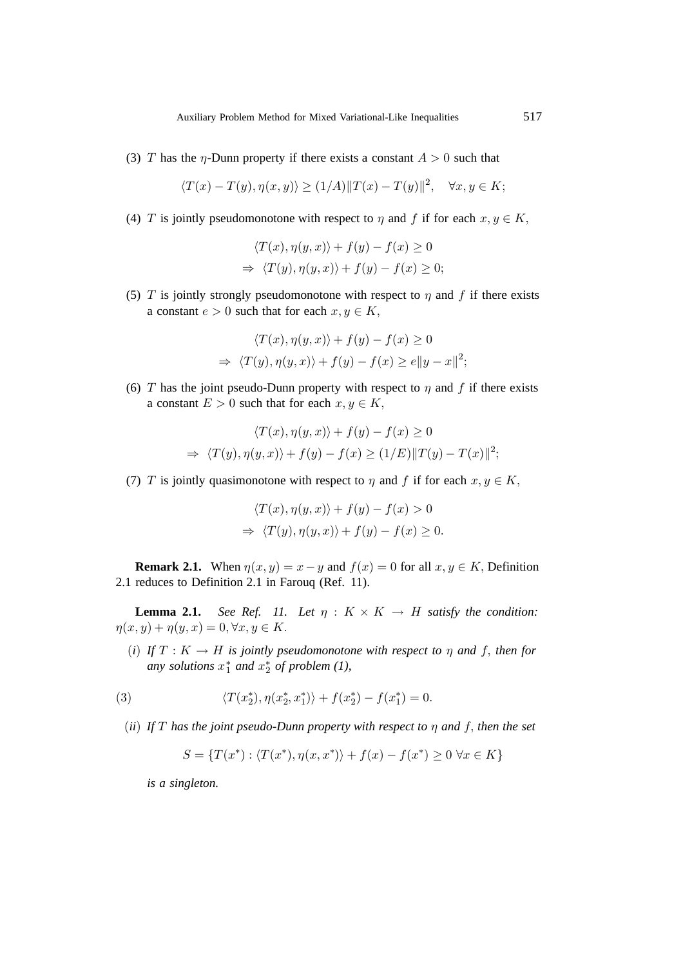(3) T has the  $\eta$ -Dunn property if there exists a constant  $A > 0$  such that

$$
\langle T(x) - T(y), \eta(x, y) \rangle \ge (1/A) ||T(x) - T(y)||^2, \quad \forall x, y \in K;
$$

(4) T is jointly pseudomonotone with respect to  $\eta$  and f if for each  $x, y \in K$ ,

$$
\langle T(x), \eta(y, x) \rangle + f(y) - f(x) \ge 0
$$
  
\n
$$
\Rightarrow \langle T(y), \eta(y, x) \rangle + f(y) - f(x) \ge 0;
$$

(5) T is jointly strongly pseudomonotone with respect to  $\eta$  and f if there exists a constant  $e > 0$  such that for each  $x, y \in K$ ,

$$
\langle T(x), \eta(y, x) \rangle + f(y) - f(x) \ge 0
$$
  
\n
$$
\Rightarrow \langle T(y), \eta(y, x) \rangle + f(y) - f(x) \ge e ||y - x||^2;
$$

(6) T has the joint pseudo-Dunn property with respect to  $\eta$  and f if there exists a constant  $E > 0$  such that for each  $x, y \in K$ ,

$$
\langle T(x), \eta(y, x) \rangle + f(y) - f(x) \ge 0
$$
  
\n
$$
\Rightarrow \langle T(y), \eta(y, x) \rangle + f(y) - f(x) \ge (1/E) ||T(y) - T(x)||^2;
$$

(7) T is jointly quasimonotone with respect to  $\eta$  and f if for each  $x, y \in K$ ,

$$
\langle T(x), \eta(y, x) \rangle + f(y) - f(x) > 0
$$
  
\n
$$
\Rightarrow \langle T(y), \eta(y, x) \rangle + f(y) - f(x) \ge 0.
$$

**Remark 2.1.** When  $\eta(x, y) = x - y$  and  $f(x) = 0$  for all  $x, y \in K$ , Definition 2.1 reduces to Definition 2.1 in Farouq (Ref. 11).

**Lemma 2.1.** *See Ref. 11. Let*  $\eta$  :  $K \times K \rightarrow H$  *satisfy the condition:*  $\eta(x, y) + \eta(y, x) = 0, \forall x, y \in K.$ 

(*i*) *If*  $T : K \to H$  *is jointly pseudomonotone with respect to*  $\eta$  *and*  $f$ *, then for any solutions*  $x_1^*$  *and*  $x_2^*$  *of problem*  $(1)$ ,

(3) 
$$
\langle T(x_2^*), \eta(x_2^*, x_1^*) \rangle + f(x_2^*) - f(x_1^*) = 0.
$$

(*ii*) *If* T *has the joint pseudo-Dunn property with respect to* η *and* f, *then the set*

$$
S = \{T(x^*): \langle T(x^*), \eta(x, x^*) \rangle + f(x) - f(x^*) \ge 0 \,\forall x \in K\}
$$

*is a singleton.*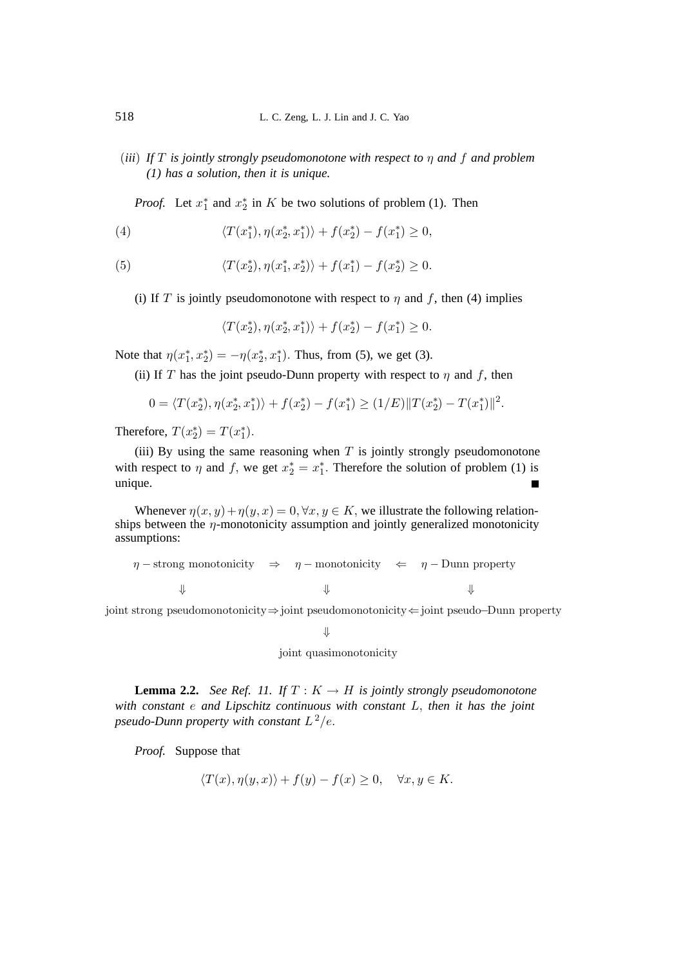(*iii*) *If* T *is jointly strongly pseudomonotone with respect to* η *and* f *and problem (1) has a solution, then it is unique.*

*Proof.* Let  $x_1^*$  and  $x_2^*$  in K be two solutions of problem (1). Then

(4) 
$$
\langle T(x_1^*), \eta(x_2^*, x_1^*) \rangle + f(x_2^*) - f(x_1^*) \geq 0,
$$

(5) 
$$
\langle T(x_2^*), \eta(x_1^*, x_2^*) \rangle + f(x_1^*) - f(x_2^*) \ge 0.
$$

(i) If T is jointly pseudomonotone with respect to  $\eta$  and f, then (4) implies

$$
\langle T(x_2^*), \eta(x_2^*, x_1^*) \rangle + f(x_2^*) - f(x_1^*) \ge 0.
$$

Note that  $\eta(x_1^*, x_2^*) = -\eta(x_2^*, x_1^*)$ . Thus, from (5), we get (3).

(ii) If T has the joint pseudo-Dunn property with respect to  $\eta$  and f, then

$$
0 = \langle T(x_2^*), \eta(x_2^*, x_1^*) \rangle + f(x_2^*) - f(x_1^*) \ge (1/E) ||T(x_2^*) - T(x_1^*)||^2.
$$

Therefore,  $T(x_2^*) = T(x_1^*)$ .

(iii) By using the same reasoning when  $T$  is jointly strongly pseudomonotone with respect to  $\eta$  and  $f$ , we get  $x_2^* = x_1^*$ . Therefore the solution of problem (1) is unique.

Whenever  $\eta(x, y) + \eta(y, x) = 0$ ,  $\forall x, y \in K$ , we illustrate the following relationships between the  $\eta$ -monotonicity assumption and jointly generalized monotonicity assumptions:

```
\eta – strong monotonicity \Rightarrow \eta – monotonicity \Leftarrow \eta – Dunn property
⇓⇓⇓
```
joint strong pseudomonotonicity⇒joint pseudomonotonicity⇐joint pseudo−Dunn property

⇓

$$
joint\ quasimonotonicity
$$

**Lemma 2.2.** *See Ref. 11.* If  $T: K \to H$  *is jointly strongly pseudomonotone with constant* e *and Lipschitz continuous with constant* L, *then it has the joint pseudo-Dunn property with constant*  $L^2/e$ .

*Proof.* Suppose that

$$
\langle T(x), \eta(y, x) \rangle + f(y) - f(x) \ge 0, \quad \forall x, y \in K.
$$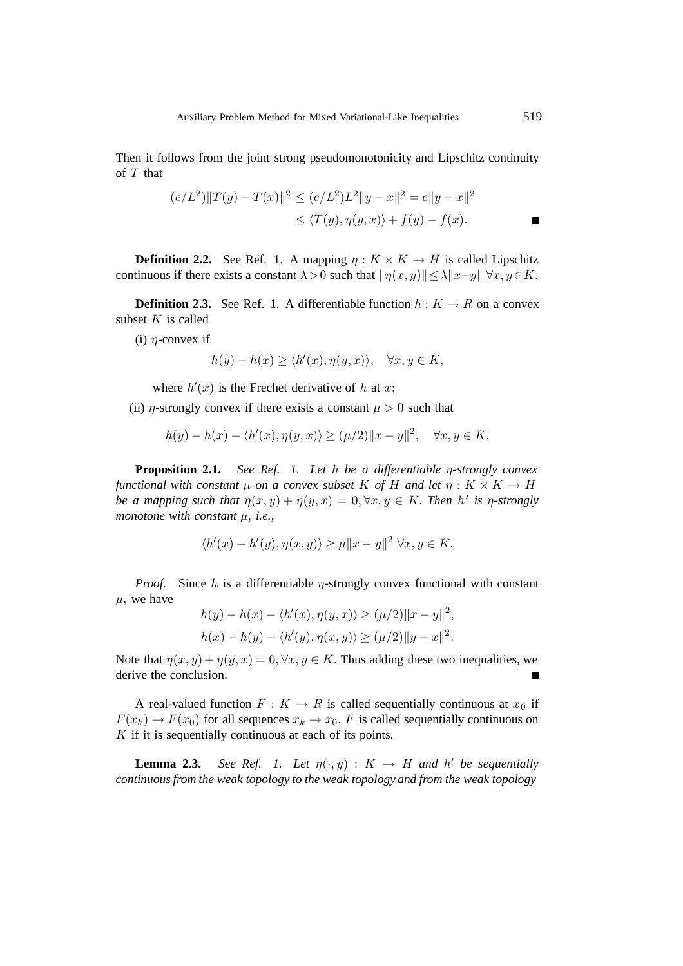Then it follows from the joint strong pseudomonotonicity and Lipschitz continuity of  $T$  that

$$
(e/L^2) ||T(y) - T(x)||^2 \le (e/L^2)L^2 ||y - x||^2 = e||y - x||^2
$$
  
 
$$
\le \langle T(y), \eta(y, x) \rangle + f(y) - f(x).
$$

**Definition 2.2.** See Ref. 1. A mapping  $\eta : K \times K \to H$  is called Lipschitz continuous if there exists a constant  $\lambda > 0$  such that  $||\eta(x, y)|| \leq \lambda ||x - y|| \forall x, y \in K$ .

**Definition 2.3.** See Ref. 1. A differentiable function  $h: K \to R$  on a convex subset  $K$  is called

(i)  $\eta$ -convex if

$$
h(y) - h(x) \ge \langle h'(x), \eta(y, x) \rangle, \quad \forall x, y \in K,
$$

where  $h'(x)$  is the Frechet derivative of h at x;

(ii)  $\eta$ -strongly convex if there exists a constant  $\mu > 0$  such that

$$
h(y) - h(x) - \langle h'(x), \eta(y, x) \rangle \ge (\mu/2) ||x - y||^2, \quad \forall x, y \in K.
$$

**Proposition 2.1.** *See Ref. 1. Let* h *be a differentiable* η*-strongly convex functional with constant*  $\mu$  *on a convex subset* K *of* H *and let*  $\eta : K \times K \to H$ *be a mapping such that*  $\eta(x, y) + \eta(y, x) = 0, \forall x, y \in K$ . Then  $h'$  is  $\eta$ -strongly<br>monotone with constant  $u \cdot i.e.$ *monotone with constant* µ, *i.e.,*

$$
\langle h'(x) - h'(y), \eta(x, y) \rangle \ge \mu \|x - y\|^2 \ \forall x, y \in K.
$$

*Proof.* Since h is a differentiable  $\eta$ -strongly convex functional with constant  $\mu$ , we have

$$
h(y) - h(x) - \langle h'(x), \eta(y, x) \rangle \ge (\mu/2) ||x - y||^2,
$$
  

$$
h(x) - h(y) - \langle h'(y), \eta(x, y) \rangle \ge (\mu/2) ||y - x||^2.
$$

Note that  $\eta(x, y) + \eta(y, x) = 0, \forall x, y \in K$ . Thus adding these two inequalities, we derive the conclusion.

A real-valued function  $F: K \to R$  is called sequentially continuous at  $x_0$  if  $F(x_k) \to F(x_0)$  for all sequences  $x_k \to x_0$ . F is called sequentially continuous on  $K$  if it is sequentially continuous at each of its points.

**Lemma 2.3.** *See Ref. 1. Let*  $\eta(\cdot, y) : K \to H$  *and* h<sup>*l*</sup> be sequentially tinuous from the weak tonelogy and from the weak tonelogy *continuous from the weak topology to the weak topology and from the weak topology*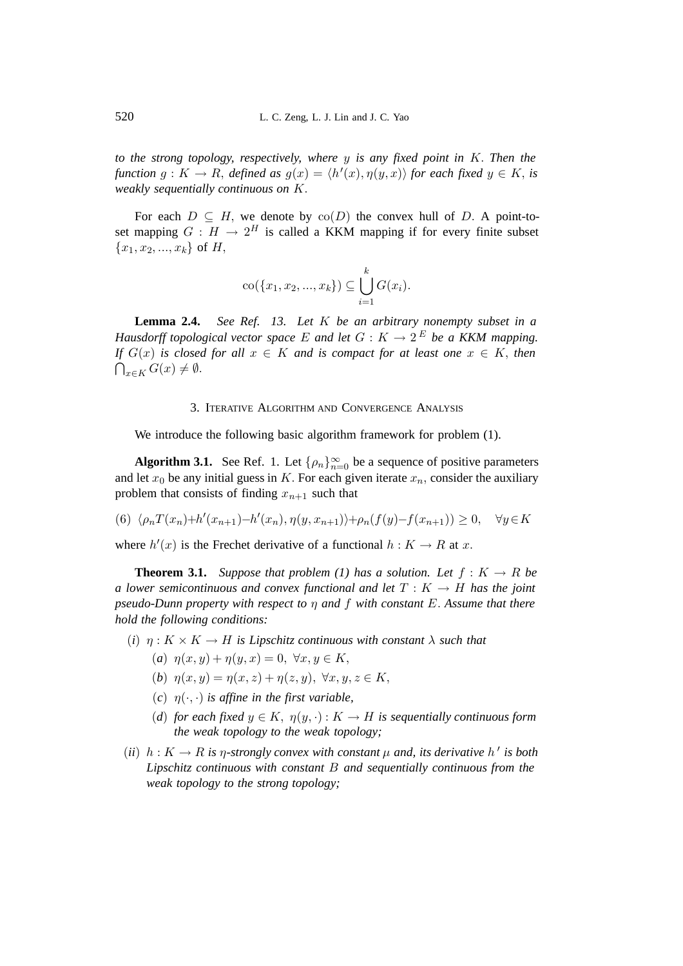*to the strong topology, respectively, where* y *is any fixed point in* K. *Then the function*  $g: K \to R$ , *defined* as  $g(x) = \langle h'(x), \eta(y, x) \rangle$  *for each fixed*  $y \in K$ , *is weakly sequentially continuous* on *K weakly sequentially continuous on* K.

For each  $D \subseteq H$ , we denote by  $co(D)$  the convex hull of D. A point-toset mapping  $G : H \to 2^H$  is called a KKM mapping if for every finite subset  ${x_1, x_2, ..., x_k}$  of H,

$$
co({x_1, x_2, ..., x_k}) \subseteq \bigcup_{i=1}^k G(x_i).
$$

**Lemma 2.4.** *See Ref. 13. Let* K *be an arbitrary nonempty subset in a Hausdorff topological vector space* E and let  $G: K \to 2^E$  be a KKM mapping. *If*  $G(x)$  *is closed for all*  $x \in K$  *and is compact for at least one*  $x \in K$ *, then*  $\bigcap_{x\in K} G(x) \neq \emptyset.$ 

#### 3. ITERATIVE ALGORITHM AND CONVERGENCE ANALYSIS

We introduce the following basic algorithm framework for problem  $(1)$ .

**Algorithm 3.1.** See Ref. 1. Let  $\{\rho_n\}_{n=0}^{\infty}$  be a sequence of positive parameters let  $x_e$  be any initial quass in  $K$ . For each given iterate  $x_e$  consider the auxiliary and let  $x_0$  be any initial guess in K. For each given iterate  $x_n$ , consider the auxiliary problem that consists of finding  $x_{n+1}$  such that

(6)  $\langle \rho_n T(x_n) + h'(x_{n+1}) - h'(x_n), \eta(y, x_{n+1}) \rangle + \rho_n(f(y) - f(x_{n+1})) \ge 0, \quad \forall y \in K$ 

where  $h'(x)$  is the Frechet derivative of a functional  $h: K \to R$  at x.

**Theorem 3.1.** *Suppose that problem (1) has a solution. Let*  $f: K \to R$  *be a lower semicontinuous and convex functional and let*  $T : K \to H$  *has the joint pseudo-Dunn property with respect to* η *and* f *with constant* E. *Assume that there hold the following conditions:*

- (*i*)  $\eta: K \times K \to H$  *is Lipschitz continuous with constant*  $\lambda$  *such that* 
	- (*a*)  $\eta(x, y) + \eta(y, x) = 0, \forall x, y \in K$ ,
	- (*b*)  $\eta(x, y) = \eta(x, z) + \eta(z, y), \ \forall x, y, z \in K,$
	- $(c)$   $n(\cdot, \cdot)$  *is affine in the first variable.*
	- (*d*) for each fixed  $y \in K$ ,  $\eta(y, \cdot) : K \to H$  is sequentially continuous form *the weak topology to the weak topology;*
- (*ii*)  $h: K \to R$  *is*  $\eta$ -strongly convex with constant  $\mu$  and, its derivative  $h'$  *is both*<br>*I* insekits continuous with constant  $R$  and sequentially continuous from the *Lipschitz continuous with constant* B *and sequentially continuous from the weak topology to the strong topology;*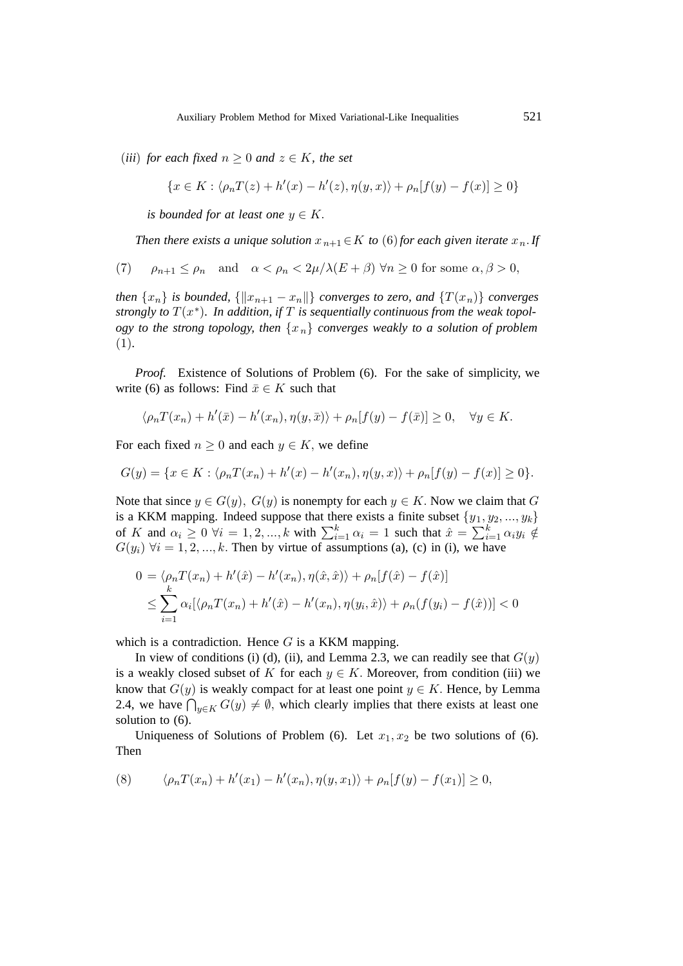(*iii*) for each fixed  $n \geq 0$  and  $z \in K$ , the set

$$
\{x \in K : \langle \rho_n T(z) + h'(x) - h'(z), \eta(y, x) \rangle + \rho_n[f(y) - f(x)] \ge 0\}
$$

*is bounded for at least one*  $y \in K$ .

*Then there exists a unique solution*  $x_{n+1} \in K$  *to* (6)*for each given iterate*  $x_n$ *. If* 

(7) 
$$
\rho_{n+1} \le \rho_n
$$
 and  $\alpha < \rho_n < 2\mu/\lambda(E+\beta)$   $\forall n \ge 0$  for some  $\alpha, \beta > 0$ ,

*then*  $\{x_n\}$  *is bounded,*  $\{\|x_{n+1} - x_n\|\}$  *converges to zero, and*  $\{T(x_n)\}$  *converges strongly to*  $T(x^*)$ *. In addition, if*  $T$  *is sequentially continuous from the weak topology to the strong topology, then*  $\{x_n\}$  *converges weakly to a solution of problem* (1)*.*

*Proof.* Existence of Solutions of Problem (6). For the sake of simplicity, we write (6) as follows: Find  $\bar{x} \in K$  such that

$$
\langle \rho_n T(x_n) + h'(\bar{x}) - h'(x_n), \eta(y, \bar{x}) \rangle + \rho_n[f(y) - f(\bar{x})] \ge 0, \quad \forall y \in K.
$$

For each fixed  $n \geq 0$  and each  $y \in K$ , we define

$$
G(y) = \{ x \in K : \langle \rho_n T(x_n) + h'(x) - h'(x_n), \eta(y, x) \rangle + \rho_n[f(y) - f(x)] \ge 0 \}.
$$

Note that since  $y \in G(y)$ ,  $G(y)$  is nonempty for each  $y \in K$ . Now we claim that G is a KKM mapping. Indeed suppose that there exists a finite subset  $\{y_1, y_2, ..., y_k\}$ of K and  $\alpha_i \geq 0$   $\forall i = 1, 2, ..., k$  with  $\sum_{i=1}^k \alpha_i = 1$  such that  $\hat{x} = \sum_{i=1}^k \alpha_i y_i \notin$ <br> $G(u)$   $\forall i = 1, 2, ..., k$  Then by virtue of assumptions (a) (c) in (i) we have  $G(y_i)$   $\forall i = 1, 2, ..., k$ . Then by virtue of assumptions (a), (c) in (i), we have

$$
0 = \langle \rho_n T(x_n) + h'(\hat{x}) - h'(x_n), \eta(\hat{x}, \hat{x}) \rangle + \rho_n[f(\hat{x}) - f(\hat{x})]
$$
  

$$
\leq \sum_{i=1}^k \alpha_i [\langle \rho_n T(x_n) + h'(\hat{x}) - h'(x_n), \eta(y_i, \hat{x}) \rangle + \rho_n(f(y_i) - f(\hat{x}))] < 0
$$

which is a contradiction. Hence  $G$  is a KKM mapping.

In view of conditions (i) (d), (ii), and Lemma 2.3, we can readily see that  $G(y)$ is a weakly closed subset of K for each  $y \in K$ . Moreover, from condition (iii) we know that  $G(y)$  is weakly compact for at least one point  $y \in K$ . Hence, by Lemma 2.4, we have  $\bigcap_{y \in K} G(y) \neq \emptyset$ , which clearly implies that there exists at least one solution to (6) solution to (6).

Uniqueness of Solutions of Problem (6). Let  $x_1, x_2$  be two solutions of (6). Then

(8) 
$$
\langle \rho_n T(x_n) + h'(x_1) - h'(x_n), \eta(y, x_1) \rangle + \rho_n[f(y) - f(x_1)] \ge 0,
$$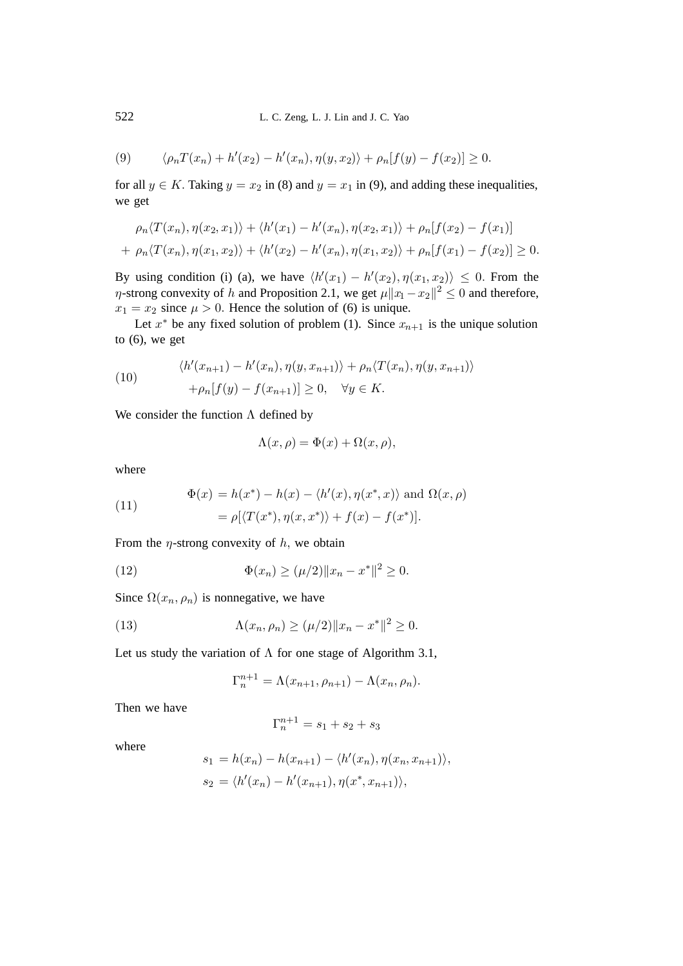(9) 
$$
\langle \rho_n T(x_n) + h'(x_2) - h'(x_n), \eta(y, x_2) \rangle + \rho_n[f(y) - f(x_2)] \ge 0.
$$

for all  $y \in K$ . Taking  $y = x_2$  in (8) and  $y = x_1$  in (9), and adding these inequalities, we get

$$
\rho_n \langle T(x_n), \eta(x_2, x_1) \rangle + \langle h'(x_1) - h'(x_n), \eta(x_2, x_1) \rangle + \rho_n[f(x_2) - f(x_1)] + \rho_n \langle T(x_n), \eta(x_1, x_2) \rangle + \langle h'(x_2) - h'(x_n), \eta(x_1, x_2) \rangle + \rho_n[f(x_1) - f(x_2)] \ge 0.
$$

By using condition (i) (a), we have  $\langle h'(x_1) - h'(x_2), \eta(x_1, x_2) \rangle \leq 0$ . From the n-strong convexity of h-and Proposition 2.1, we get  $u||x_1 - x_2||^2 < 0$  and therefore  $\eta$ -strong convexity of h and Proposition 2.1, we get  $\mu \|x_1 - x_2\|^2 \leq 0$  and therefore,  $x_1 = x_2$  since  $\mu > 0$ . Hence the solution of (6) is unique.

Let  $x^*$  be any fixed solution of problem (1). Since  $x_{n+1}$  is the unique solution to  $(6)$ , we get

(10) 
$$
\langle h'(x_{n+1}) - h'(x_n), \eta(y, x_{n+1}) \rangle + \rho_n \langle T(x_n), \eta(y, x_{n+1}) \rangle + \rho_n[f(y) - f(x_{n+1})] \ge 0, \quad \forall y \in K.
$$

We consider the function  $\Lambda$  defined by

$$
\Lambda(x,\rho) = \Phi(x) + \Omega(x,\rho),
$$

where

(11) 
$$
\Phi(x) = h(x^*) - h(x) - \langle h'(x), \eta(x^*, x) \rangle \text{ and } \Omega(x, \rho)
$$

$$
= \rho[\langle T(x^*), \eta(x, x^*) \rangle + f(x) - f(x^*)].
$$

From the  $\eta$ -strong convexity of h, we obtain

(12) 
$$
\Phi(x_n) \ge (\mu/2) \|x_n - x^*\|^2 \ge 0.
$$

Since  $\Omega(x_n, \rho_n)$  is nonnegative, we have

(13) 
$$
\Lambda(x_n, \rho_n) \ge (\mu/2) \|x_n - x^*\|^2 \ge 0.
$$

Let us study the variation of  $\Lambda$  for one stage of Algorithm 3.1,

$$
\Gamma_n^{n+1} = \Lambda(x_{n+1}, \rho_{n+1}) - \Lambda(x_n, \rho_n).
$$

Then we have

$$
\Gamma_n^{n+1} = s_1 + s_2 + s_3
$$

where

$$
s_1 = h(x_n) - h(x_{n+1}) - \langle h'(x_n), \eta(x_n, x_{n+1}) \rangle,
$$
  
\n
$$
s_2 = \langle h'(x_n) - h'(x_{n+1}), \eta(x^*, x_{n+1}) \rangle,
$$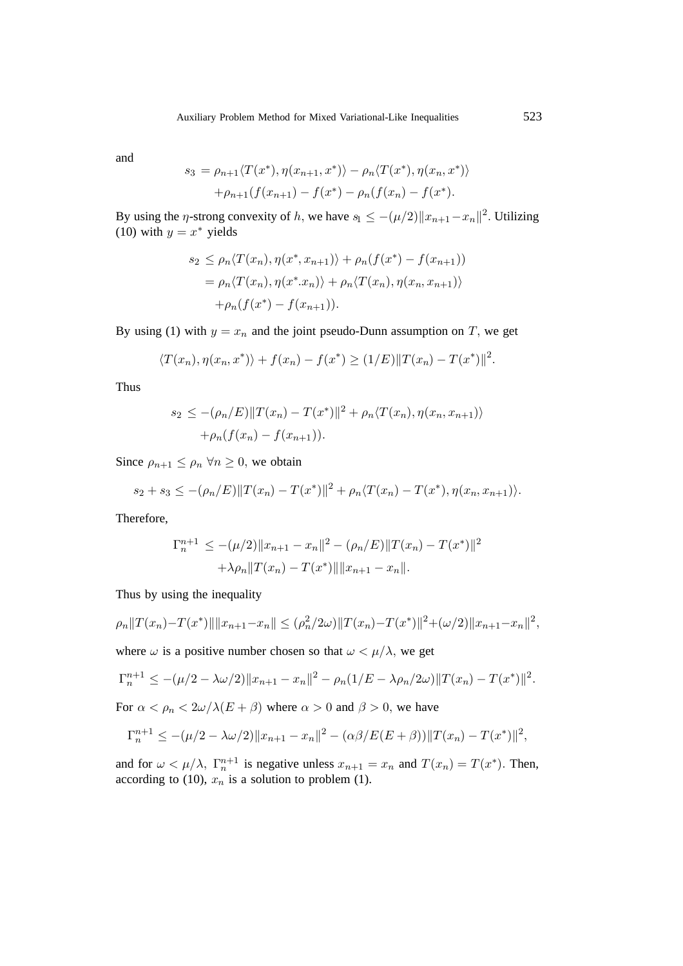and

$$
s_3 = \rho_{n+1} \langle T(x^*), \eta(x_{n+1}, x^*) \rangle - \rho_n \langle T(x^*), \eta(x_n, x^*) \rangle
$$

$$
+ \rho_{n+1} (f(x_{n+1}) - f(x^*) - \rho_n(f(x_n) - f(x^*)).
$$

By using the *η*-strong convexity of h, we have  $s_1 \leq -(\mu/2)||x_{n+1}-x_n||^2$ . Utilizing (10) with  $y = x^*$  yields

$$
s_2 \le \rho_n \langle T(x_n), \eta(x^*, x_{n+1}) \rangle + \rho_n(f(x^*) - f(x_{n+1}))
$$
  
=  $\rho_n \langle T(x_n), \eta(x^*, x_n) \rangle + \rho_n \langle T(x_n), \eta(x_n, x_{n+1}) \rangle$   
+  $\rho_n(f(x^*) - f(x_{n+1})).$ 

By using (1) with  $y = x_n$  and the joint pseudo-Dunn assumption on T, we get

$$
\langle T(x_n), \eta(x_n, x^*) \rangle + f(x_n) - f(x^*) \ge (1/E) ||T(x_n) - T(x^*)||^2.
$$

Thus

$$
s_2 \le -(\rho_n/E) ||T(x_n) - T(x^*)||^2 + \rho_n \langle T(x_n), \eta(x_n, x_{n+1}) \rangle
$$
  
+  $\rho_n(f(x_n) - f(x_{n+1})).$ 

Since  $\rho_{n+1} \leq \rho_n \,\forall n \geq 0$ , we obtain

$$
s_2 + s_3 \leq -(\rho_n/E) ||T(x_n) - T(x^*)||^2 + \rho_n \langle T(x_n) - T(x^*) , \eta(x_n, x_{n+1}) \rangle.
$$

Therefore,

$$
\Gamma_n^{n+1} \le -(\mu/2) \|x_{n+1} - x_n\|^2 - (\rho_n/E) \|T(x_n) - T(x^*)\|^2
$$
  
+  $\lambda \rho_n \|T(x_n) - T(x^*)\| \|x_{n+1} - x_n\|.$ 

Thus by using the inequality

$$
\rho_n \|T(x_n) - T(x^*)\| \|x_{n+1} - x_n\| \le (\rho_n^2 / 2\omega) \|T(x_n) - T(x^*)\|^2 + (\omega/2) \|x_{n+1} - x_n\|^2,
$$

where  $\omega$  is a positive number chosen so that  $\omega < \mu/\lambda$ , we get

$$
\Gamma_n^{n+1} \le -(\mu/2 - \lambda \omega/2) \|x_{n+1} - x_n\|^2 - \rho_n (1/E - \lambda \rho_n/2\omega) \|T(x_n) - T(x^*)\|^2.
$$

For  $\alpha < \rho_n < 2\omega/\lambda(E+\beta)$  where  $\alpha > 0$  and  $\beta > 0$ , we have

$$
\Gamma_n^{n+1} \le -(\mu/2 - \lambda \omega/2) \|x_{n+1} - x_n\|^2 - (\alpha \beta / E(E + \beta)) \|T(x_n) - T(x^*)\|^2,
$$

and for  $\omega < \mu/\lambda$ ,  $\Gamma_n^{n+1}$  is negative unless  $x_{n+1} = x_n$  and  $T(x_n) = T(x^*)$ . Then, according to (10),  $x_n$  is a solution to problem (1).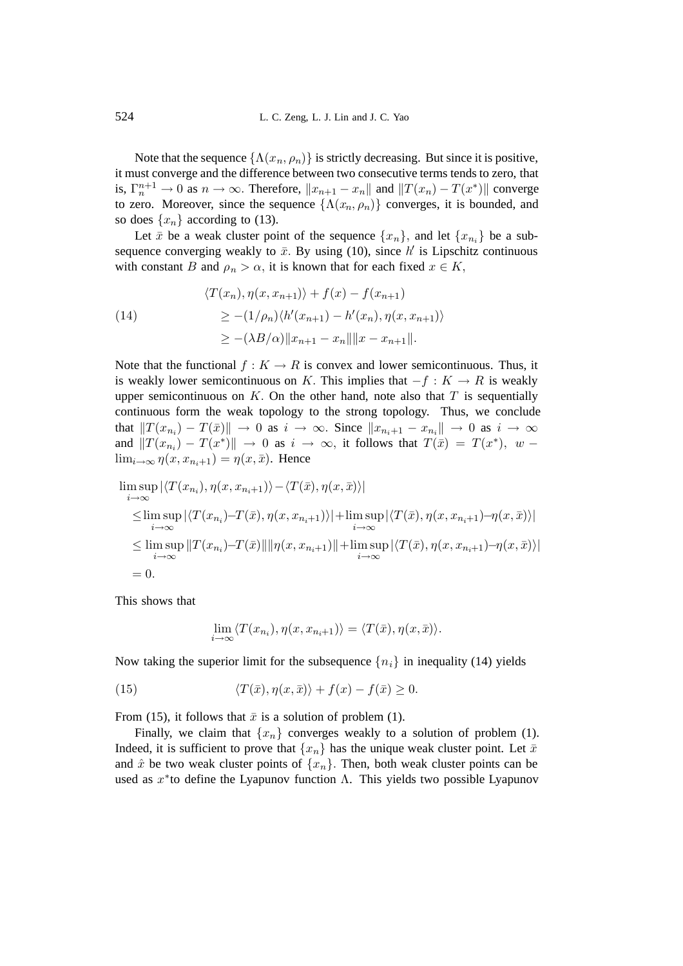Note that the sequence  $\{\Lambda(x_n, \rho_n)\}\$ is strictly decreasing. But since it is positive, it must converge and the difference between two consecutive terms tends to zero, that is,  $\Gamma_n^{n+1} \to 0$  as  $n \to \infty$ . Therefore,  $||x_{n+1} - x_n||$  and  $||T(x_n) - T(x^*)||$  converges to zero. Moreover, since the sequence  $\Lambda(x, a)$  converges, it is bounded, and to zero. Moreover, since the sequence  $\{\Lambda(x_n, \rho_n)\}\$ converges, it is bounded, and so does  $\{x_n\}$  according to (13).

Let  $\bar{x}$  be a weak cluster point of the sequence  $\{x_n\}$ , and let  $\{x_{n_i}\}$  be a subsequence converging weakly to  $\bar{x}$ . By using (10), since  $h'$  is Lipschitz continuous<br>with constant B and  $g \geq \alpha$  it is known that for each fixed  $x \in K$ with constant B and  $\rho_n > \alpha$ , it is known that for each fixed  $x \in K$ ,

(14)  
\n
$$
\langle T(x_n), \eta(x, x_{n+1}) \rangle + f(x) - f(x_{n+1})
$$
\n
$$
\geq -(1/\rho_n) \langle h'(x_{n+1}) - h'(x_n), \eta(x, x_{n+1}) \rangle
$$
\n
$$
\geq -(\lambda B/\alpha) \|x_{n+1} - x_n\| \|x - x_{n+1}\|.
$$

Note that the functional  $f : K \to R$  is convex and lower semicontinuous. Thus, it is weakly lower semicontinuous on K. This implies that  $-f : K \to R$  is weakly upper semicontinuous on K. On the other hand, note also that  $T$  is sequentially continuous form the weak topology to the strong topology. Thus, we conclude that  $||T(x_{n_i}) - T(\bar{x})|| \rightarrow 0$  as  $i \rightarrow \infty$ . Since  $||x_{n_i+1} - x_{n_i}|| \rightarrow 0$  as  $i \rightarrow \infty$ and  $||T(x_{n_i}) - T(x^*)|| \rightarrow 0$  as  $i \rightarrow \infty$ , it follows that  $T(\bar{x}) = T(x^*)$ , w –  $\lim_{i\to\infty} \eta(x, x_{n_i+1}) = \eta(x, \bar{x})$ . Hence

$$
\limsup_{i \to \infty} |\langle T(x_{n_i}), \eta(x, x_{n_i+1}) \rangle - \langle T(\bar{x}), \eta(x, \bar{x}) \rangle|
$$
\n
$$
\leq \limsup_{i \to \infty} |\langle T(x_{n_i}) - T(\bar{x}), \eta(x, x_{n_i+1}) \rangle| + \limsup_{i \to \infty} |\langle T(\bar{x}), \eta(x, x_{n_i+1}) - \eta(x, \bar{x}) \rangle|
$$
\n
$$
\leq \limsup_{i \to \infty} ||T(x_{n_i}) - T(\bar{x})|| ||\eta(x, x_{n_i+1})|| + \limsup_{i \to \infty} |\langle T(\bar{x}), \eta(x, x_{n_i+1}) - \eta(x, \bar{x}) \rangle|
$$
\n
$$
= 0.
$$

This shows that

$$
\lim_{i \to \infty} \langle T(x_{n_i}), \eta(x, x_{n_i+1}) \rangle = \langle T(\bar{x}), \eta(x, \bar{x}) \rangle.
$$

Now taking the superior limit for the subsequence  $\{n_i\}$  in inequality (14) yields

(15) 
$$
\langle T(\bar{x}), \eta(x, \bar{x}) \rangle + f(x) - f(\bar{x}) \ge 0.
$$

From (15), it follows that  $\bar{x}$  is a solution of problem (1).

Finally, we claim that  $\{x_n\}$  converges weakly to a solution of problem (1). Indeed, it is sufficient to prove that  $\{x_n\}$  has the unique weak cluster point. Let  $\bar{x}$ and  $\hat{x}$  be two weak cluster points of  $\{x_n\}$ . Then, both weak cluster points can be used as  $x^*$  to define the Lyapunov function  $\Lambda$ . This yields two possible Lyapunov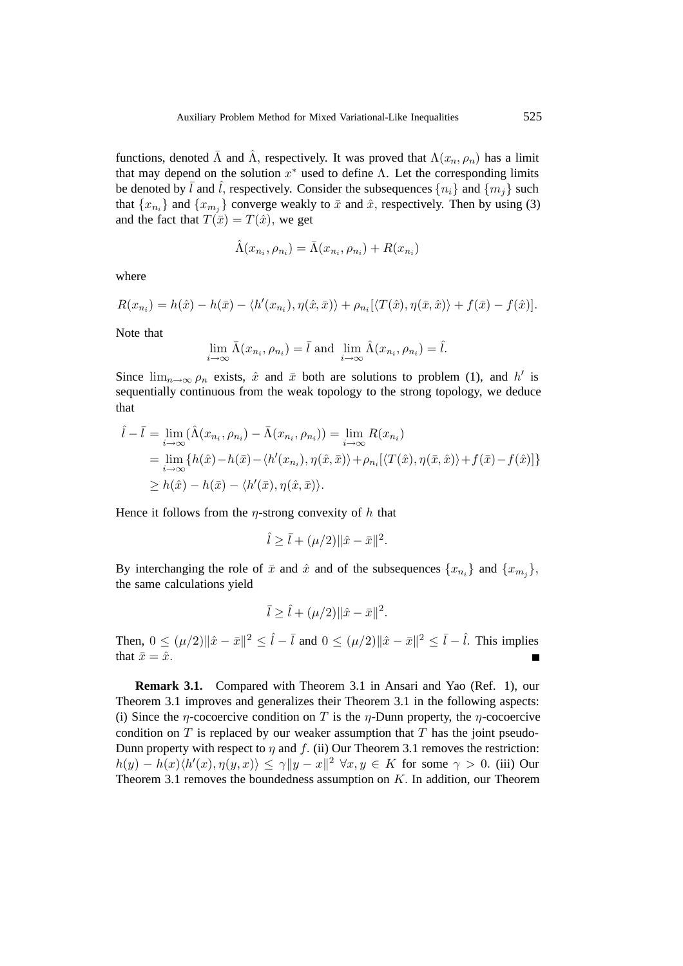functions, denoted  $\bar{\Lambda}$  and  $\hat{\Lambda}$ , respectively. It was proved that  $\Lambda(x_n, \rho_n)$  has a limit that may depend on the solution  $x^*$  used to define  $\Lambda$ . Let the corresponding limits be denoted by  $\bar{l}$  and  $\hat{l}$ , respectively. Consider the subsequences  $\{n_i\}$  and  $\{m_j\}$  such that  $\{x_{n_i}\}\$ and  $\{x_{m_i}\}\$ converge weakly to  $\bar{x}$  and  $\hat{x}$ , respectively. Then by using (3) and the fact that  $T(\bar{x}) = T(\hat{x})$ , we get

$$
\hat{\Lambda}(x_{n_i}, \rho_{n_i}) = \bar{\Lambda}(x_{n_i}, \rho_{n_i}) + R(x_{n_i})
$$

where

$$
R(x_{n_i}) = h(\hat{x}) - h(\bar{x}) - \langle h'(x_{n_i}), \eta(\hat{x}, \bar{x}) \rangle + \rho_{n_i} [\langle T(\hat{x}), \eta(\bar{x}, \hat{x}) \rangle + f(\bar{x}) - f(\hat{x})].
$$

Note that

$$
\lim_{i \to \infty} \bar{\Lambda}(x_{n_i}, \rho_{n_i}) = \bar{l} \text{ and } \lim_{i \to \infty} \hat{\Lambda}(x_{n_i}, \rho_{n_i}) = \hat{l}.
$$

Since  $\lim_{n\to\infty} \rho_n$  exists,  $\hat{x}$  and  $\bar{x}$  both are solutions to problem (1), and h' is<br>sequentially continuous from the weak topology to the strong topology we deduce sequentially continuous from the weak topology to the strong topology, we deduce that

$$
\hat{l} - \bar{l} = \lim_{i \to \infty} (\hat{\Lambda}(x_{n_i}, \rho_{n_i}) - \bar{\Lambda}(x_{n_i}, \rho_{n_i})) = \lim_{i \to \infty} R(x_{n_i})
$$
  
\n
$$
= \lim_{i \to \infty} \{h(\hat{x}) - h(\bar{x}) - \langle h'(x_{n_i}), \eta(\hat{x}, \bar{x}) \rangle + \rho_{n_i} [\langle T(\hat{x}), \eta(\bar{x}, \hat{x}) \rangle + f(\bar{x}) - f(\hat{x})] \}
$$
  
\n
$$
\geq h(\hat{x}) - h(\bar{x}) - \langle h'(\bar{x}), \eta(\hat{x}, \bar{x}) \rangle.
$$

Hence it follows from the  $\eta$ -strong convexity of h that

$$
\hat{l} \ge \bar{l} + (\mu/2) \|\hat{x} - \bar{x}\|^2.
$$

By interchanging the role of  $\bar{x}$  and  $\hat{x}$  and of the subsequences  $\{x_{n_i}\}\$  and  $\{x_{m_i}\}\$ , the same calculations yield

$$
\bar{l} \ge \hat{l} + (\mu/2) ||\hat{x} - \bar{x}||^2.
$$

Then,  $0 \le (\mu/2) \|\hat{x} - \bar{x}\|^2 \le \hat{l} - \bar{l}$  and  $0 \le (\mu/2) \|\hat{x} - \bar{x}\|^2 \le \bar{l} - \hat{l}$ . This implies that  $\bar{x} = \hat{x}$ .

**Remark 3.1.** Compared with Theorem 3.1 in Ansari and Yao (Ref. 1), our Theorem 3.1 improves and generalizes their Theorem 3.1 in the following aspects: (i) Since the  $\eta$ -cocoercive condition on T is the  $\eta$ -Dunn property, the  $\eta$ -cocoercive condition on  $T$  is replaced by our weaker assumption that  $T$  has the joint pseudo-Dunn property with respect to  $\eta$  and f. (ii) Our Theorem 3.1 removes the restriction:  $h(y) - h(x) \langle h'(x), \eta(y, x) \rangle \leq \gamma ||y - x||^2 \; \forall x, y \in K$  for some  $\gamma > 0$ . (iii) Our Theorem 3.1 removes the boundedness assumption on K. In addition, our Theorem Theorem 3.1 removes the boundedness assumption on K. In addition, our Theorem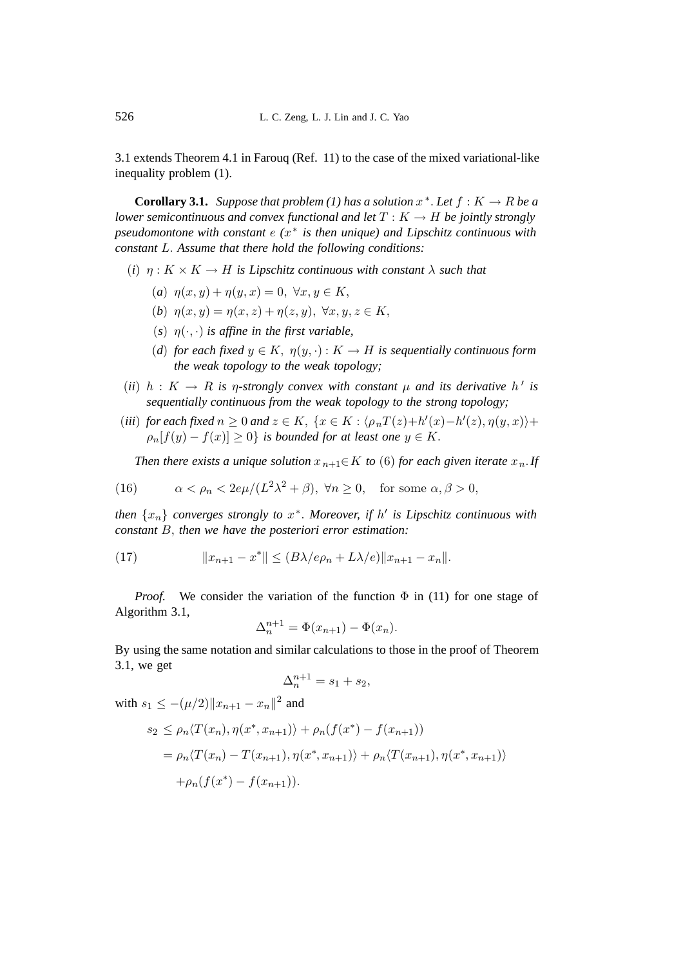3.1 extends Theorem 4.1 in Farouq (Ref. 11) to the case of the mixed variational-like inequality problem (1).

**Corollary 3.1.** *Suppose that problem (1) has a solution*  $x^*$ *. Let*  $f : K \to R$  *be a lower semicontinuous and convex functional and let*  $T : K \to H$  *be jointly strongly pseudomontone with constant* e *(*x<sup>∗</sup> *is then unique) and Lipschitz continuous with constant* L. *Assume that there hold the following conditions:*

- (*i*)  $\eta: K \times K \to H$  *is Lipschitz continuous with constant*  $\lambda$  *such that* 
	- (*a*)  $\eta(x, y) + \eta(y, x) = 0, \forall x, y \in K$ ,
	- (*b*)  $\eta(x, y) = \eta(x, z) + \eta(z, y), \ \forall x, y, z \in K,$
	- (*s*)  $\eta(\cdot, \cdot)$  *is affine in the first variable,*
	- (*d*) for each fixed  $y \in K$ ,  $\eta(y, \cdot) : K \to H$  is sequentially continuous form *the weak topology to the weak topology;*
- (*ii*)  $h: K \to R$  *is*  $\eta$ -strongly convex with constant  $\mu$  and its derivative  $h'$  is sequentially continuous from the weak topology to the strong topology: *sequentially continuous from the weak topology to the strong topology;*
- (*iii*) *for each fixed*  $n \ge 0$  *and*  $z \in K$ ,  $\{x \in K : \langle \rho_n T(z) + h'(x) h'(z), \eta(y, x) \rangle +$ <br>  $\le \int_{0}^{k} f(x) f(x) \ge 0$ , is hounded for at least one  $y \in K$  $\rho_n[f(y) - f(x)] > 0$  *is bounded for at least one*  $y \in K$ .

*Then there exists a unique solution*  $x_{n+1} \in K$  *to* (6) *for each given iterate*  $x_n$ *. If* 

(16) 
$$
\alpha < \rho_n < 2e\mu/(L^2\lambda^2 + \beta), \ \forall n \ge 0, \quad \text{for some } \alpha, \beta > 0,
$$

*then*  $\{x_n\}$  *converges strongly to*  $x^*$ . *Moreover, if*  $h'$  *is Lipschitz continuous with*<br>constant B, then we have the posteriori error estimation *constant* B, *then we have the posteriori error estimation:*

(17) 
$$
||x_{n+1} - x^*|| \le (B\lambda/e\rho_n + L\lambda/e)||x_{n+1} - x_n||.
$$

*Proof.* We consider the variation of the function  $\Phi$  in (11) for one stage of Algorithm 3.1,

$$
\Delta_n^{n+1} = \Phi(x_{n+1}) - \Phi(x_n).
$$

By using the same notation and similar calculations to those in the proof of Theorem 3.1, we get

$$
\Delta_n^{n+1} = s_1 + s_2,
$$

with  $s_1 \leq -(\mu/2)||x_{n+1} - x_n||^2$  and

$$
s_2 \le \rho_n \langle T(x_n), \eta(x^*, x_{n+1}) \rangle + \rho_n(f(x^*) - f(x_{n+1}))
$$
  
=  $\rho_n \langle T(x_n) - T(x_{n+1}), \eta(x^*, x_{n+1}) \rangle + \rho_n \langle T(x_{n+1}), \eta(x^*, x_{n+1}) \rangle$   
+  $\rho_n(f(x^*) - f(x_{n+1})).$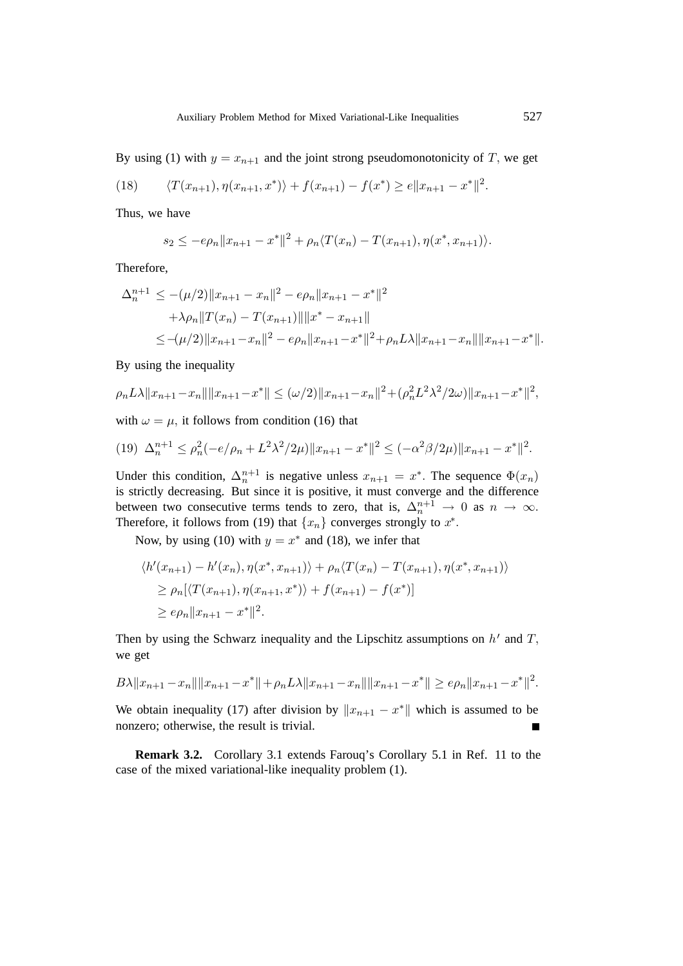By using (1) with  $y = x_{n+1}$  and the joint strong pseudomonotonicity of T, we get

(18) 
$$
\langle T(x_{n+1}), \eta(x_{n+1}, x^*) \rangle + f(x_{n+1}) - f(x^*) \ge e \|x_{n+1} - x^*\|^2.
$$

Thus, we have

$$
s_2 \leq -e\rho_n \|x_{n+1} - x^*\|^2 + \rho_n \langle T(x_n) - T(x_{n+1}), \eta(x^*, x_{n+1}) \rangle.
$$

Therefore,

$$
\Delta_n^{n+1} \le -(\mu/2) \|x_{n+1} - x_n\|^2 - e\rho_n \|x_{n+1} - x^*\|^2
$$
  
+  $\lambda \rho_n \|T(x_n) - T(x_{n+1})\| \|x^* - x_{n+1}\|$   

$$
\le -(\mu/2) \|x_{n+1} - x_n\|^2 - e\rho_n \|x_{n+1} - x^*\|^2 + \rho_n L\lambda \|x_{n+1} - x_n\| \|x_{n+1} - x^*\|.
$$

By using the inequality

$$
\rho_n L\lambda \|x_{n+1} - x_n\| \|x_{n+1} - x^*\| \le (\omega/2) \|x_{n+1} - x_n\|^2 + (\rho_n^2 L^2 \lambda^2 / 2\omega) \|x_{n+1} - x^*\|^2,
$$

with  $\omega = \mu$ , it follows from condition (16) that

$$
(19) \ \Delta_n^{n+1} \le \rho_n^2(-e/\rho_n + L^2\lambda^2/2\mu) \|x_{n+1} - x^*\|^2 \le (-\alpha^2\beta/2\mu) \|x_{n+1} - x^*\|^2.
$$

Under this condition,  $\Delta_n^{n+1}$  is negative unless  $x_{n+1} = x^*$ . The sequence  $\Phi(x_n)$  is strictly decreasing. But since it is positive it must converge and the difference is strictly decreasing. But since it is positive, it must converge and the difference between two consecutive terms tends to zero, that is,  $\Delta_n^{n+1} \to 0$  as  $n \to \infty$ .<br>Therefore it follows from (19) that  $\int x^1$  converges strongly to  $x^*$ Therefore, it follows from (19) that  $\{x_n\}$  converges strongly to  $x^*$ .

Now, by using (10) with  $y = x^*$  and (18), we infer that

$$
\langle h'(x_{n+1}) - h'(x_n), \eta(x^*, x_{n+1}) \rangle + \rho_n \langle T(x_n) - T(x_{n+1}), \eta(x^*, x_{n+1}) \rangle
$$
  
\n
$$
\ge \rho_n [\langle T(x_{n+1}), \eta(x_{n+1}, x^*) \rangle + f(x_{n+1}) - f(x^*)]
$$
  
\n
$$
\ge e\rho_n \|x_{n+1} - x^*\|^2.
$$

Then by using the Schwarz inequality and the Lipschitz assumptions on  $h'$  and  $T$ , we get

$$
B\lambda \|x_{n+1} - x_n\| \|x_{n+1} - x^*\| + \rho_n L\lambda \|x_{n+1} - x_n\| \|x_{n+1} - x^*\| \ge e\rho_n \|x_{n+1} - x^*\|^2.
$$

We obtain inequality (17) after division by  $\|x_{n+1} - x^*\|$  which is assumed to be nonzero; otherwise, the result is trivial.

**Remark 3.2.** Corollary 3.1 extends Farouq's Corollary 5.1 in Ref. 11 to the case of the mixed variational-like inequality problem (1).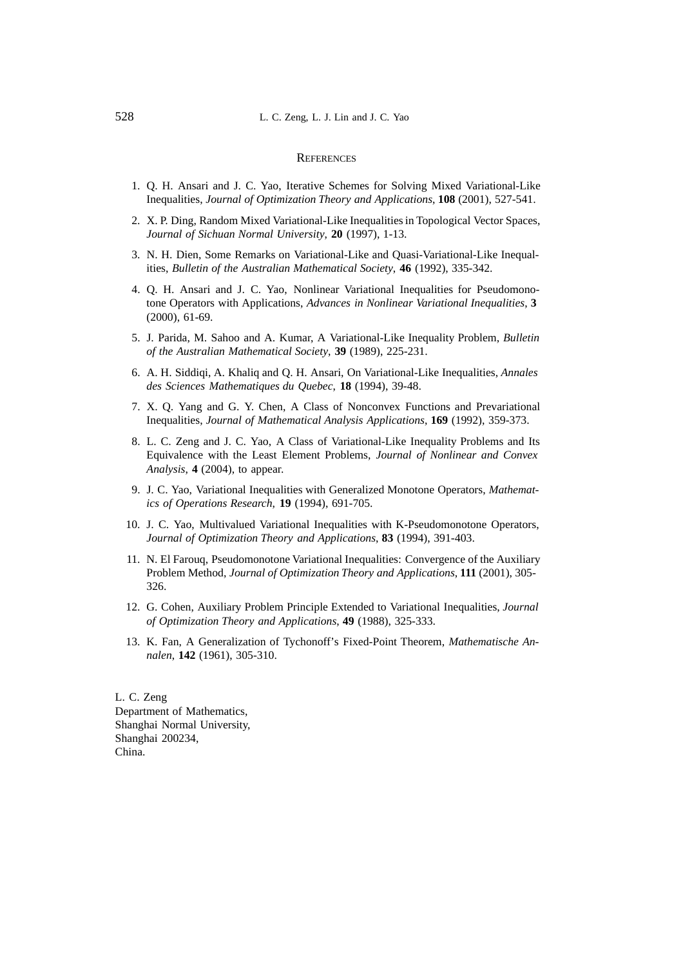### **REFERENCES**

- 1. Q. H. Ansari and J. C. Yao, Iterative Schemes for Solving Mixed Variational-Like Inequalities, *Journal of Optimization Theory and Applications*, **108** (2001), 527-541.
- 2. X. P. Ding, Random Mixed Variational-Like Inequalities in Topological Vector Spaces, *Journal of Sichuan Normal University*, **20** (1997), 1-13.
- 3. N. H. Dien, Some Remarks on Variational-Like and Quasi-Variational-Like Inequalities, *Bulletin of the Australian Mathematical Society*, **46** (1992), 335-342.
- 4. Q. H. Ansari and J. C. Yao, Nonlinear Variational Inequalities for Pseudomonotone Operators with Applications, *Advances in Nonlinear Variational Inequalities*, **3** (2000), 61-69.
- 5. J. Parida, M. Sahoo and A. Kumar, A Variational-Like Inequality Problem, *Bulletin of the Australian Mathematical Society*, **39** (1989), 225-231.
- 6. A. H. Siddiqi, A. Khaliq and Q. H. Ansari, On Variational-Like Inequalities, *Annales des Sciences Mathematiques du Quebec*, **18** (1994), 39-48.
- 7. X. Q. Yang and G. Y. Chen, A Class of Nonconvex Functions and Prevariational Inequalities, *Journal of Mathematical Analysis Applications*, **169** (1992), 359-373.
- 8. L. C. Zeng and J. C. Yao, A Class of Variational-Like Inequality Problems and Its Equivalence with the Least Element Problems, *Journal of Nonlinear and Convex Analysis*, **4** (2004), to appear.
- 9. J. C. Yao, Variational Inequalities with Generalized Monotone Operators, *Mathematics of Operations Research*, **19** (1994), 691-705.
- 10. J. C. Yao, Multivalued Variational Inequalities with K-Pseudomonotone Operators, *Journal of Optimization Theory and Applications*, **83** (1994), 391-403.
- 11. N. El Farouq, Pseudomonotone Variational Inequalities: Convergence of the Auxiliary Problem Method, *Journal of Optimization Theory and Applications*, **111** (2001), 305- 326.
- 12. G. Cohen, Auxiliary Problem Principle Extended to Variational Inequalities, *Journal of Optimization Theory and Applications*, **49** (1988), 325-333.
- 13. K. Fan, A Generalization of Tychonoff's Fixed-Point Theorem, *Mathematische Annalen*, **142** (1961), 305-310.

L. C. Zeng Department of Mathematics, Shanghai Normal University, Shanghai 200234, China.